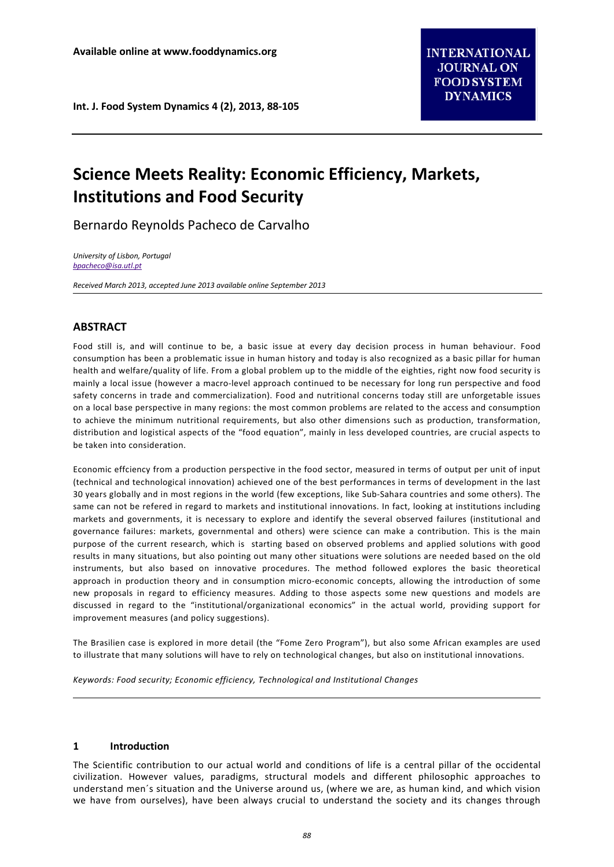# **Science Meets Reality: Economic Efficiency, Markets, Institutions and Food Security**

Bernardo Reynolds Pacheco de Carvalho

*University of Lisbon, Portugal [bpacheco@isa.utl.pt](mailto:bpacheco@isa.utl.pt)*

*Received March 2013, accepted June 2013 available online September 2013*

# **ABSTRACT**

Food still is, and will continue to be, a basic issue at every day decision process in human behaviour. Food consumption has been a problematic issue in human history and today is also recognized as a basic pillar for human health and welfare/quality of life. From a global problem up to the middle of the eighties, right now food security is mainly a local issue (however a macro-level approach continued to be necessary for long run perspective and food safety concerns in trade and commercialization). Food and nutritional concerns today still are unforgetable issues on a local base perspective in many regions: the most common problems are related to the access and consumption to achieve the minimum nutritional requirements, but also other dimensions such as production, transformation, distribution and logistical aspects of the "food equation", mainly in less developed countries, are crucial aspects to be taken into consideration.

Economic effciency from a production perspective in the food sector, measured in terms of output per unit of input (technical and technological innovation) achieved one of the best performances in terms of development in the last 30 years globally and in most regions in the world (few exceptions, like Sub-Sahara countries and some others). The same can not be refered in regard to markets and institutional innovations. In fact, looking at institutions including markets and governments, it is necessary to explore and identify the several observed failures (institutional and governance failures: markets, governmental and others) were science can make a contribution. This is the main purpose of the current research, which is starting based on observed problems and applied solutions with good results in many situations, but also pointing out many other situations were solutions are needed based on the old instruments, but also based on innovative procedures. The method followed explores the basic theoretical approach in production theory and in consumption micro-economic concepts, allowing the introduction of some new proposals in regard to efficiency measures. Adding to those aspects some new questions and models are discussed in regard to the "institutional/organizational economics" in the actual world, providing support for improvement measures (and policy suggestions).

The Brasilien case is explored in more detail (the "Fome Zero Program"), but also some African examples are used to illustrate that many solutions will have to rely on technological changes, but also on institutional innovations.

*Keywords: Food security; Economic efficiency, Technological and Institutional Changes*

## **1 Introduction**

The Scientific contribution to our actual world and conditions of life is a central pillar of the occidental civilization. However values, paradigms, structural models and different philosophic approaches to understand men´s situation and the Universe around us, (where we are, as human kind, and which vision we have from ourselves), have been always crucial to understand the society and its changes through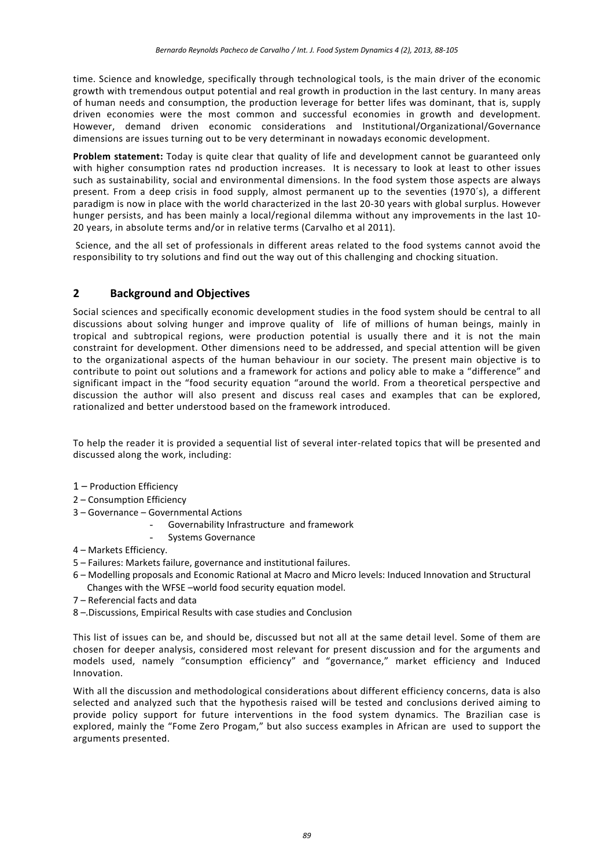time. Science and knowledge, specifically through technological tools, is the main driver of the economic growth with tremendous output potential and real growth in production in the last century. In many areas of human needs and consumption, the production leverage for better lifes was dominant, that is, supply driven economies were the most common and successful economies in growth and development. However, demand driven economic considerations and Institutional/Organizational/Governance dimensions are issues turning out to be very determinant in nowadays economic development.

**Problem statement:** Today is quite clear that quality of life and development cannot be guaranteed only with higher consumption rates nd production increases. It is necessary to look at least to other issues such as sustainability, social and environmental dimensions. In the food system those aspects are always present. From a deep crisis in food supply, almost permanent up to the seventies (1970´s), a different paradigm is now in place with the world characterized in the last 20-30 years with global surplus. However hunger persists, and has been mainly a local/regional dilemma without any improvements in the last 10- 20 years, in absolute terms and/or in relative terms (Carvalho et al 2011).

Science, and the all set of professionals in different areas related to the food systems cannot avoid the responsibility to try solutions and find out the way out of this challenging and chocking situation.

# **2 Background and Objectives**

Social sciences and specifically economic development studies in the food system should be central to all discussions about solving hunger and improve quality of life of millions of human beings, mainly in tropical and subtropical regions, were production potential is usually there and it is not the main constraint for development. Other dimensions need to be addressed, and special attention will be given to the organizational aspects of the human behaviour in our society. The present main objective is to contribute to point out solutions and a framework for actions and policy able to make a "difference" and significant impact in the "food security equation "around the world. From a theoretical perspective and discussion the author will also present and discuss real cases and examples that can be explored, rationalized and better understood based on the framework introduced.

To help the reader it is provided a sequential list of several inter-related topics that will be presented and discussed along the work, including:

- 1 Production Efficiency
- 2 Consumption Efficiency
- 3 Governance Governmental Actions
	- Governability Infrastructure and framework
	- Systems Governance
- 4 Markets Efficiency.
- 5 Failures: Markets failure, governance and institutional failures.
- 6 Modelling proposals and Economic Rational at Macro and Micro levels: Induced Innovation and Structural Changes with the WFSE –world food security equation model.
- 7 Referencial facts and data
- 8 –.Discussions, Empirical Results with case studies and Conclusion

This list of issues can be, and should be, discussed but not all at the same detail level. Some of them are chosen for deeper analysis, considered most relevant for present discussion and for the arguments and models used, namely "consumption efficiency" and "governance," market efficiency and Induced Innovation.

With all the discussion and methodological considerations about different efficiency concerns, data is also selected and analyzed such that the hypothesis raised will be tested and conclusions derived aiming to provide policy support for future interventions in the food system dynamics. The Brazilian case is explored, mainly the "Fome Zero Progam," but also success examples in African are used to support the arguments presented.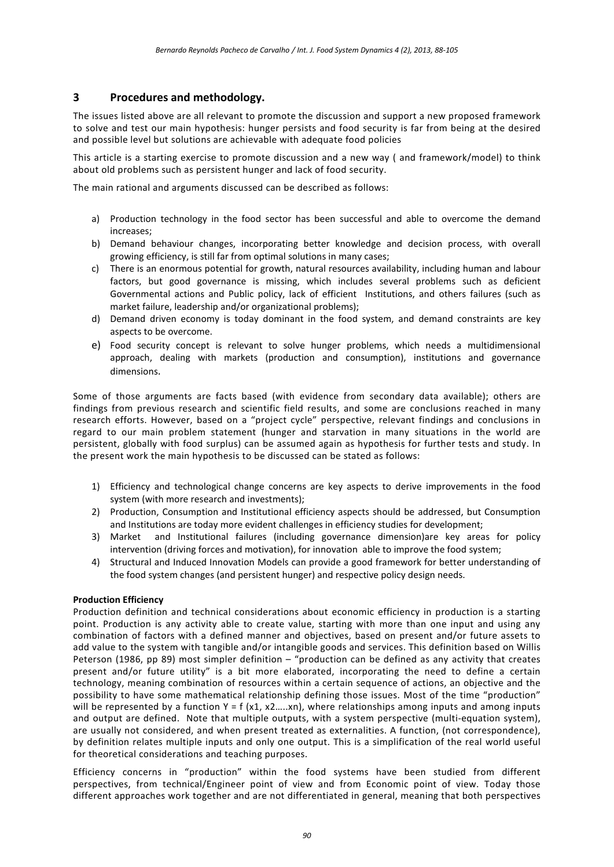## **3 Procedures and methodology.**

The issues listed above are all relevant to promote the discussion and support a new proposed framework to solve and test our main hypothesis: hunger persists and food security is far from being at the desired and possible level but solutions are achievable with adequate food policies

This article is a starting exercise to promote discussion and a new way ( and framework/model) to think about old problems such as persistent hunger and lack of food security.

The main rational and arguments discussed can be described as follows:

- a) Production technology in the food sector has been successful and able to overcome the demand increases;
- b) Demand behaviour changes, incorporating better knowledge and decision process, with overall growing efficiency, is still far from optimal solutions in many cases;
- c) There is an enormous potential for growth, natural resources availability, including human and labour factors, but good governance is missing, which includes several problems such as deficient Governmental actions and Public policy, lack of efficient Institutions, and others failures (such as market failure, leadership and/or organizational problems);
- d) Demand driven economy is today dominant in the food system, and demand constraints are key aspects to be overcome.
- e) Food security concept is relevant to solve hunger problems, which needs a multidimensional approach, dealing with markets (production and consumption), institutions and governance dimensions.

Some of those arguments are facts based (with evidence from secondary data available); others are findings from previous research and scientific field results, and some are conclusions reached in many research efforts. However, based on a "project cycle" perspective, relevant findings and conclusions in regard to our main problem statement (hunger and starvation in many situations in the world are persistent, globally with food surplus) can be assumed again as hypothesis for further tests and study. In the present work the main hypothesis to be discussed can be stated as follows:

- 1) Efficiency and technological change concerns are key aspects to derive improvements in the food system (with more research and investments);
- 2) Production, Consumption and Institutional efficiency aspects should be addressed, but Consumption and Institutions are today more evident challenges in efficiency studies for development;<br>3) Market and Institutional failures (including governance dimension)are key area
- and Institutional failures (including governance dimension)are key areas for policy intervention (driving forces and motivation), for innovation able to improve the food system;
- 4) Structural and Induced Innovation Models can provide a good framework for better understanding of the food system changes (and persistent hunger) and respective policy design needs.

#### **Production Efficiency**

Production definition and technical considerations about economic efficiency in production is a starting point. Production is any activity able to create value, starting with more than one input and using any combination of factors with a defined manner and objectives, based on present and/or future assets to add value to the system with tangible and/or intangible goods and services. This definition based on Willis Peterson (1986, pp 89) most simpler definition – "production can be defined as any activity that creates present and/or future utility" is a bit more elaborated, incorporating the need to define a certain technology, meaning combination of resources within a certain sequence of actions, an objective and the possibility to have some mathematical relationship defining those issues. Most of the time "production" will be represented by a function  $Y = f(x1, x2,...xn)$ , where relationships among inputs and among inputs and output are defined. Note that multiple outputs, with a system perspective (multi-equation system), are usually not considered, and when present treated as externalities. A function, (not correspondence), by definition relates multiple inputs and only one output. This is a simplification of the real world useful for theoretical considerations and teaching purposes.

Efficiency concerns in "production" within the food systems have been studied from different perspectives, from technical/Engineer point of view and from Economic point of view. Today those different approaches work together and are not differentiated in general, meaning that both perspectives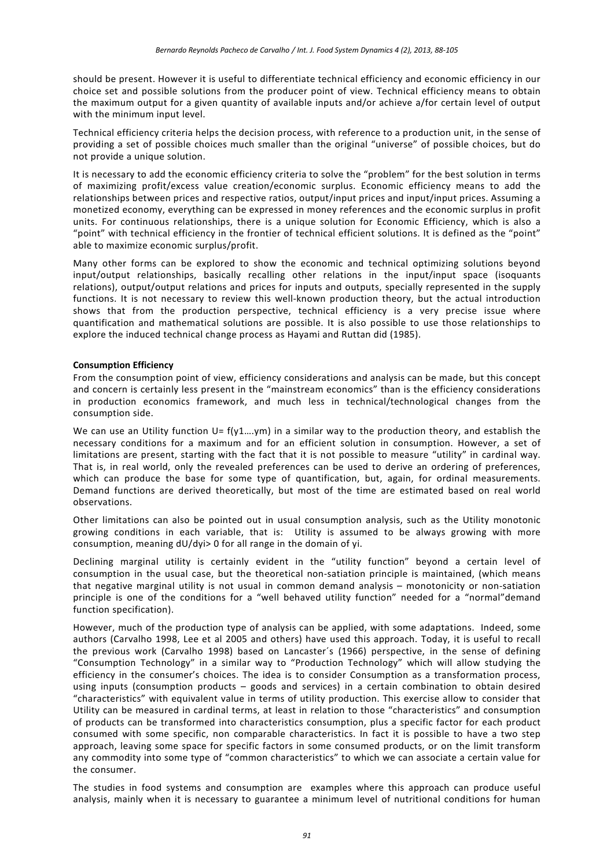should be present. However it is useful to differentiate technical efficiency and economic efficiency in our choice set and possible solutions from the producer point of view. Technical efficiency means to obtain the maximum output for a given quantity of available inputs and/or achieve a/for certain level of output with the minimum input level.

Technical efficiency criteria helps the decision process, with reference to a production unit, in the sense of providing a set of possible choices much smaller than the original "universe" of possible choices, but do not provide a unique solution.

It is necessary to add the economic efficiency criteria to solve the "problem" for the best solution in terms of maximizing profit/excess value creation/economic surplus. Economic efficiency means to add the relationships between prices and respective ratios, output/input prices and input/input prices. Assuming a monetized economy, everything can be expressed in money references and the economic surplus in profit units. For continuous relationships, there is a unique solution for Economic Efficiency, which is also a "point" with technical efficiency in the frontier of technical efficient solutions. It is defined as the "point" able to maximize economic surplus/profit.

Many other forms can be explored to show the economic and technical optimizing solutions beyond input/output relationships, basically recalling other relations in the input/input space (isoquants relations), output/output relations and prices for inputs and outputs, specially represented in the supply functions. It is not necessary to review this well-known production theory, but the actual introduction shows that from the production perspective, technical efficiency is a very precise issue where quantification and mathematical solutions are possible. It is also possible to use those relationships to explore the induced technical change process as Hayami and Ruttan did (1985).

#### **Consumption Efficiency**

From the consumption point of view, efficiency considerations and analysis can be made, but this concept and concern is certainly less present in the "mainstream economics" than is the efficiency considerations in production economics framework, and much less in technical/technological changes from the consumption side.

We can use an Utility function  $U = f(y1...ym)$  in a similar way to the production theory, and establish the necessary conditions for a maximum and for an efficient solution in consumption. However, a set of limitations are present, starting with the fact that it is not possible to measure "utility" in cardinal way. That is, in real world, only the revealed preferences can be used to derive an ordering of preferences, which can produce the base for some type of quantification, but, again, for ordinal measurements. Demand functions are derived theoretically, but most of the time are estimated based on real world observations.

Other limitations can also be pointed out in usual consumption analysis, such as the Utility monotonic growing conditions in each variable, that is: Utility is assumed to be always growing with more consumption, meaning dU/dyi> 0 for all range in the domain of yi.

Declining marginal utility is certainly evident in the "utility function" beyond a certain level of consumption in the usual case, but the theoretical non-satiation principle is maintained, (which means that negative marginal utility is not usual in common demand analysis – monotonicity or non-satiation principle is one of the conditions for a "well behaved utility function" needed for a "normal"demand function specification).

However, much of the production type of analysis can be applied, with some adaptations. Indeed, some authors (Carvalho 1998, Lee et al 2005 and others) have used this approach. Today, it is useful to recall the previous work (Carvalho 1998) based on Lancaster´s (1966) perspective, in the sense of defining "Consumption Technology" in a similar way to "Production Technology" which will allow studying the efficiency in the consumer's choices. The idea is to consider Consumption as a transformation process, using inputs (consumption products – goods and services) in a certain combination to obtain desired "characteristics" with equivalent value in terms of utility production. This exercise allow to consider that Utility can be measured in cardinal terms, at least in relation to those "characteristics" and consumption of products can be transformed into characteristics consumption, plus a specific factor for each product consumed with some specific, non comparable characteristics. In fact it is possible to have a two step approach, leaving some space for specific factors in some consumed products, or on the limit transform any commodity into some type of "common characteristics" to which we can associate a certain value for the consumer.

The studies in food systems and consumption are examples where this approach can produce useful analysis, mainly when it is necessary to guarantee a minimum level of nutritional conditions for human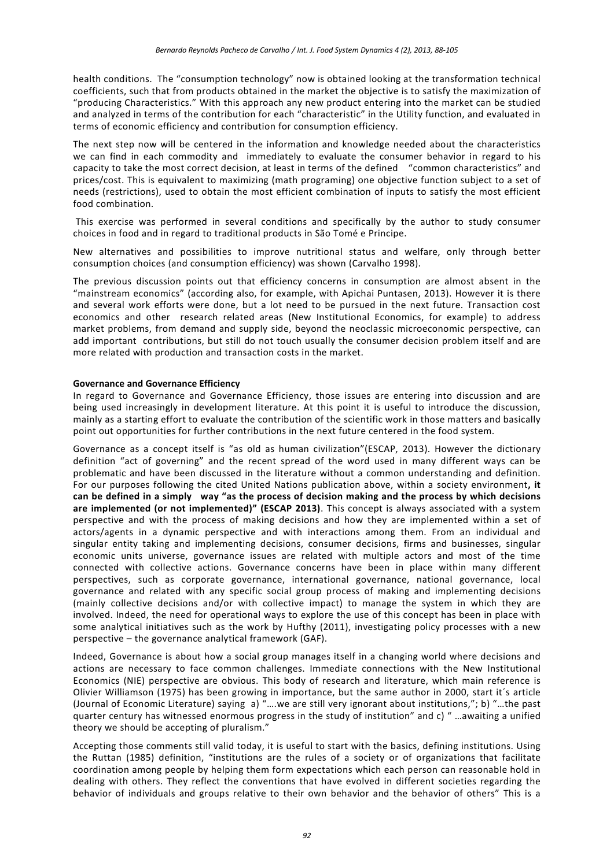health conditions. The "consumption technology" now is obtained looking at the transformation technical coefficients, such that from products obtained in the market the objective is to satisfy the maximization of "producing Characteristics." With this approach any new product entering into the market can be studied and analyzed in terms of the contribution for each "characteristic" in the Utility function, and evaluated in terms of economic efficiency and contribution for consumption efficiency.

The next step now will be centered in the information and knowledge needed about the characteristics we can find in each commodity and immediately to evaluate the consumer behavior in regard to his capacity to take the most correct decision, at least in terms of the defined "common characteristics" and prices/cost. This is equivalent to maximizing (math programing) one objective function subject to a set of needs (restrictions), used to obtain the most efficient combination of inputs to satisfy the most efficient food combination.

This exercise was performed in several conditions and specifically by the author to study consumer choices in food and in regard to traditional products in São Tomé e Principe.

New alternatives and possibilities to improve nutritional status and welfare, only through better consumption choices (and consumption efficiency) was shown (Carvalho 1998).

The previous discussion points out that efficiency concerns in consumption are almost absent in the "mainstream economics" (according also, for example, with Apichai Puntasen, 2013). However it is there and several work efforts were done, but a lot need to be pursued in the next future. Transaction cost economics and other research related areas (New Institutional Economics, for example) to address market problems, from demand and supply side, beyond the neoclassic microeconomic perspective, can add important contributions, but still do not touch usually the consumer decision problem itself and are more related with production and transaction costs in the market.

#### **Governance and Governance Efficiency**

In regard to Governance and Governance Efficiency, those issues are entering into discussion and are being used increasingly in development literature. At this point it is useful to introduce the discussion, mainly as a starting effort to evaluate the contribution of the scientific work in those matters and basically point out opportunities for further contributions in the next future centered in the food system.

Governance as a concept itself is "as old as human civilization"(ESCAP, 2013). However the dictionary definition "act of governing" and the recent spread of the word used in many different ways can be problematic and have been discussed in the literature without a common understanding and definition. For our purposes following the cited United Nations publication above, within a society environment**, it can be defined in a simply way "as the process of decision making and the process by which decisions are implemented (or not implemented)" (ESCAP 2013)**. This concept is always associated with a system perspective and with the process of making decisions and how they are implemented within a set of actors/agents in a dynamic perspective and with interactions among them. From an individual and singular entity taking and implementing decisions, consumer decisions, firms and businesses, singular economic units universe, governance issues are related with multiple actors and most of the time connected with collective actions. Governance concerns have been in place within many different perspectives, such as corporate governance, international governance, national governance, local governance and related with any specific social group process of making and implementing decisions (mainly collective decisions and/or with collective impact) to manage the system in which they are involved. Indeed, the need for operational ways to explore the use of this concept has been in place with some analytical initiatives such as the work by Hufthy (2011), investigating policy processes with a new perspective – the governance analytical framework (GAF).

Indeed, Governance is about how a social group manages itself in a changing world where decisions and actions are necessary to face common challenges. Immediate connections with the New Institutional Economics (NIE) perspective are obvious. This body of research and literature, which main reference is Olivier Williamson (1975) has been growing in importance, but the same author in 2000, start it´s article (Journal of Economic Literature) saying a) "….we are still very ignorant about institutions,"; b) "…the past quarter century has witnessed enormous progress in the study of institution" and c) " …awaiting a unified theory we should be accepting of pluralism."

Accepting those comments still valid today, it is useful to start with the basics, defining institutions. Using the Ruttan (1985) definition, "institutions are the rules of a society or of organizations that facilitate coordination among people by helping them form expectations which each person can reasonable hold in dealing with others. They reflect the conventions that have evolved in different societies regarding the behavior of individuals and groups relative to their own behavior and the behavior of others" This is a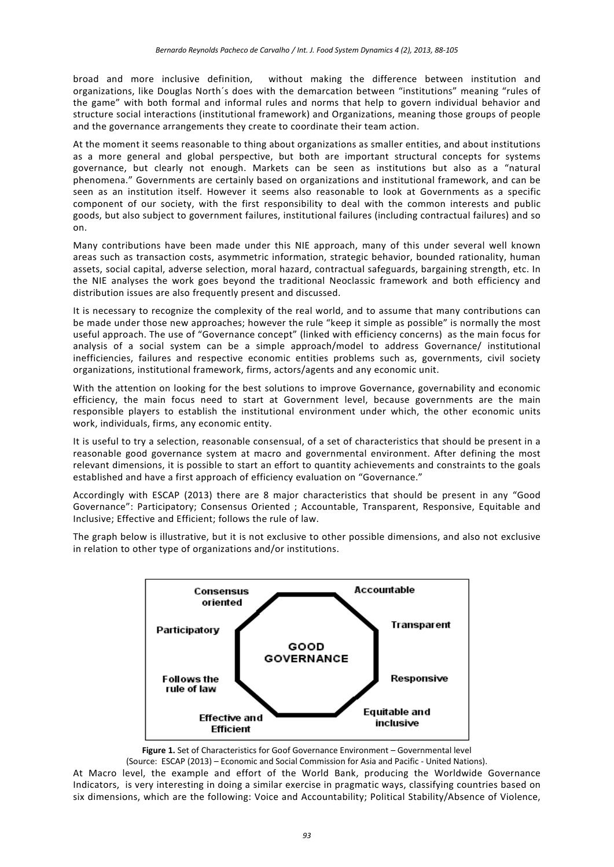broad and more inclusive definition, without making the difference between institution and organizations, like Douglas North´s does with the demarcation between "institutions" meaning "rules of the game" with both formal and informal rules and norms that help to govern individual behavior and structure social interactions (institutional framework) and Organizations, meaning those groups of people and the governance arrangements they create to coordinate their team action.

At the moment it seems reasonable to thing about organizations as smaller entities, and about institutions as a more general and global perspective, but both are important structural concepts for systems governance, but clearly not enough. Markets can be seen as institutions but also as a "natural phenomena." Governments are certainly based on organizations and institutional framework, and can be seen as an institution itself. However it seems also reasonable to look at Governments as a specific component of our society, with the first responsibility to deal with the common interests and public goods, but also subject to government failures, institutional failures (including contractual failures) and so on.

Many contributions have been made under this NIE approach, many of this under several well known areas such as transaction costs, asymmetric information, strategic behavior, bounded rationality, human assets, social capital, adverse selection, moral hazard, contractual safeguards, bargaining strength, etc. In the NIE analyses the work goes beyond the traditional Neoclassic framework and both efficiency and distribution issues are also frequently present and discussed.

It is necessary to recognize the complexity of the real world, and to assume that many contributions can be made under those new approaches; however the rule "keep it simple as possible" is normally the most useful approach. The use of "Governance concept" (linked with efficiency concerns) as the main focus for analysis of a social system can be a simple approach/model to address Governance/ institutional inefficiencies, failures and respective economic entities problems such as, governments, civil society organizations, institutional framework, firms, actors/agents and any economic unit.

With the attention on looking for the best solutions to improve Governance, governability and economic efficiency, the main focus need to start at Government level, because governments are the main responsible players to establish the institutional environment under which, the other economic units work, individuals, firms, any economic entity.

It is useful to try a selection, reasonable consensual, of a set of characteristics that should be present in a reasonable good governance system at macro and governmental environment. After defining the most relevant dimensions, it is possible to start an effort to quantity achievements and constraints to the goals established and have a first approach of efficiency evaluation on "Governance."

Accordingly with ESCAP (2013) there are 8 major characteristics that should be present in any "Good Governance": Participatory; Consensus Oriented ; Accountable, Transparent, Responsive, Equitable and Inclusive; Effective and Efficient; follows the rule of law.

The graph below is illustrative, but it is not exclusive to other possible dimensions, and also not exclusive in relation to other type of organizations and/or institutions.



Figure 1. Set of Characteristics for Goof Governance Environment - Governmental level (Source: ESCAP (2013) – Economic and Social Commission for Asia and Pacific - United Nations).

At Macro level, the example and effort of the World Bank, producing the Worldwide Governance Indicators, is very interesting in doing a similar exercise in pragmatic ways, classifying countries based on six dimensions, which are the following: Voice and Accountability; Political Stability/Absence of Violence,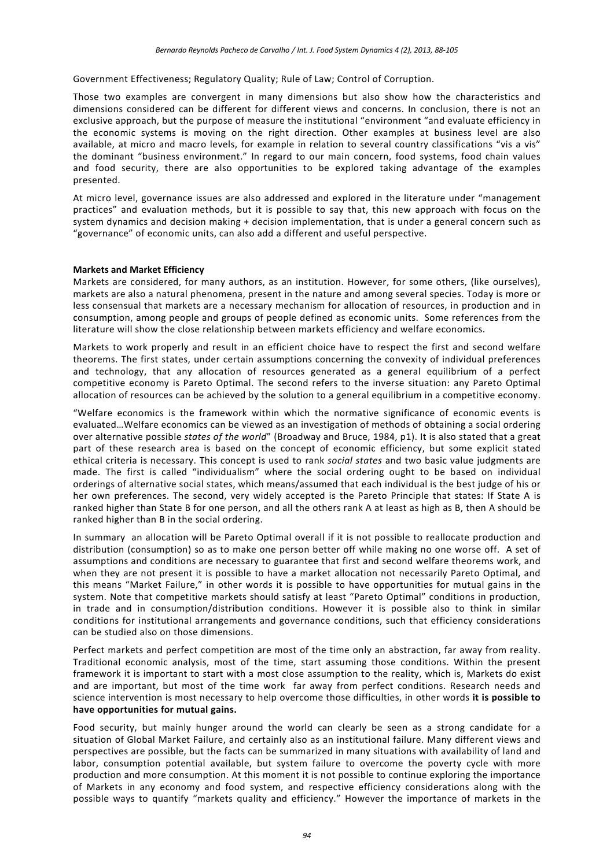Government Effectiveness; Regulatory Quality; Rule of Law; Control of Corruption.

Those two examples are convergent in many dimensions but also show how the characteristics and dimensions considered can be different for different views and concerns. In conclusion, there is not an exclusive approach, but the purpose of measure the institutional "environment "and evaluate efficiency in the economic systems is moving on the right direction. Other examples at business level are also available, at micro and macro levels, for example in relation to several country classifications "vis a vis" the dominant "business environment." In regard to our main concern, food systems, food chain values and food security, there are also opportunities to be explored taking advantage of the examples presented.

At micro level, governance issues are also addressed and explored in the literature under "management practices" and evaluation methods, but it is possible to say that, this new approach with focus on the system dynamics and decision making + decision implementation, that is under a general concern such as "governance" of economic units, can also add a different and useful perspective.

#### **Markets and Market Efficiency**

Markets are considered, for many authors, as an institution. However, for some others, (like ourselves), markets are also a natural phenomena, present in the nature and among several species. Today is more or less consensual that markets are a necessary mechanism for allocation of resources, in production and in consumption, among people and groups of people defined as economic units. Some references from the literature will show the close relationship between markets efficiency and welfare economics.

Markets to work properly and result in an efficient choice have to respect the first and second welfare theorems. The first states, under certain assumptions concerning the convexity of individual preferences and technology, that any allocation of resources generated as a general equilibrium of a perfect competitive economy is Pareto Optimal. The second refers to the inverse situation: any Pareto Optimal allocation of resources can be achieved by the solution to a general equilibrium in a competitive economy.

"Welfare economics is the framework within which the normative significance of economic events is evaluated…Welfare economics can be viewed as an investigation of methods of obtaining a social ordering over alternative possible *states of the world*" (Broadway and Bruce, 1984, p1). It is also stated that a great part of these research area is based on the concept of economic efficiency, but some explicit stated ethical criteria is necessary. This concept is used to rank *social states* and two basic value judgments are made. The first is called "individualism" where the social ordering ought to be based on individual orderings of alternative social states, which means/assumed that each individual is the best judge of his or her own preferences. The second, very widely accepted is the Pareto Principle that states: If State A is ranked higher than State B for one person, and all the others rank A at least as high as B, then A should be ranked higher than B in the social ordering.

In summary an allocation will be Pareto Optimal overall if it is not possible to reallocate production and distribution (consumption) so as to make one person better off while making no one worse off. A set of assumptions and conditions are necessary to guarantee that first and second welfare theorems work, and when they are not present it is possible to have a market allocation not necessarily Pareto Optimal, and this means "Market Failure," in other words it is possible to have opportunities for mutual gains in the system. Note that competitive markets should satisfy at least "Pareto Optimal" conditions in production, in trade and in consumption/distribution conditions. However it is possible also to think in similar conditions for institutional arrangements and governance conditions, such that efficiency considerations can be studied also on those dimensions.

Perfect markets and perfect competition are most of the time only an abstraction, far away from reality. Traditional economic analysis, most of the time, start assuming those conditions. Within the present framework it is important to start with a most close assumption to the reality, which is, Markets do exist and are important, but most of the time work far away from perfect conditions. Research needs and science intervention is most necessary to help overcome those difficulties, in other words **it is possible to have opportunities for mutual gains.**

Food security, but mainly hunger around the world can clearly be seen as a strong candidate for a situation of Global Market Failure, and certainly also as an institutional failure. Many different views and perspectives are possible, but the facts can be summarized in many situations with availability of land and labor, consumption potential available, but system failure to overcome the poverty cycle with more production and more consumption. At this moment it is not possible to continue exploring the importance of Markets in any economy and food system, and respective efficiency considerations along with the possible ways to quantify "markets quality and efficiency." However the importance of markets in the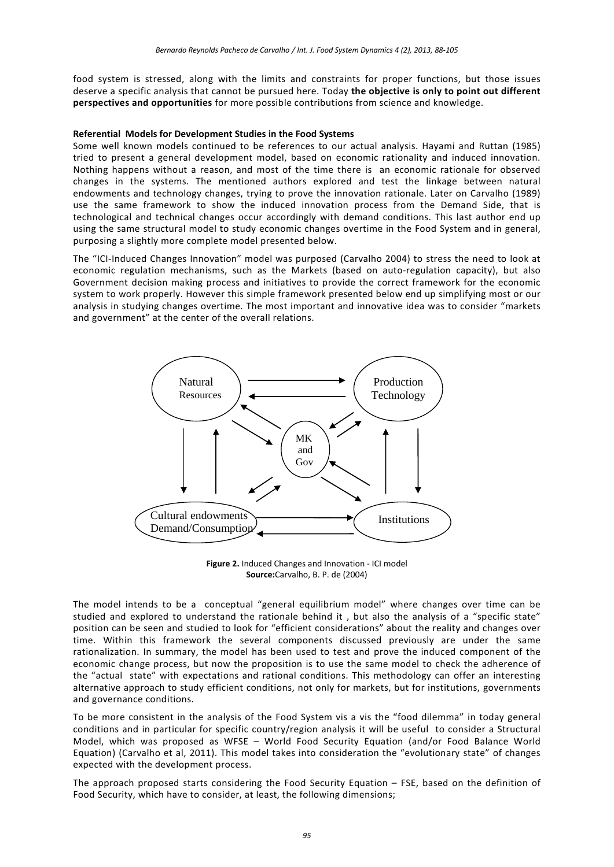food system is stressed, along with the limits and constraints for proper functions, but those issues deserve a specific analysis that cannot be pursued here. Today **the objective is only to point out different perspectives and opportunities** for more possible contributions from science and knowledge.

#### **Referential Models for Development Studies in the Food Systems**

Some well known models continued to be references to our actual analysis. Hayami and Ruttan (1985) tried to present a general development model, based on economic rationality and induced innovation. Nothing happens without a reason, and most of the time there is an economic rationale for observed changes in the systems. The mentioned authors explored and test the linkage between natural endowments and technology changes, trying to prove the innovation rationale. Later on Carvalho (1989) use the same framework to show the induced innovation process from the Demand Side, that is technological and technical changes occur accordingly with demand conditions. This last author end up using the same structural model to study economic changes overtime in the Food System and in general, purposing a slightly more complete model presented below.

The "ICI-Induced Changes Innovation" model was purposed (Carvalho 2004) to stress the need to look at economic regulation mechanisms, such as the Markets (based on auto-regulation capacity), but also Government decision making process and initiatives to provide the correct framework for the economic system to work properly. However this simple framework presented below end up simplifying most or our analysis in studying changes overtime. The most important and innovative idea was to consider "markets and government" at the center of the overall relations.



**Figure 2.** Induced Changes and Innovation - ICI model **Source:**Carvalho, B. P. de (2004)

The model intends to be a conceptual "general equilibrium model" where changes over time can be studied and explored to understand the rationale behind it , but also the analysis of a "specific state" position can be seen and studied to look for "efficient considerations" about the reality and changes over time. Within this framework the several components discussed previously are under the same rationalization. In summary, the model has been used to test and prove the induced component of the economic change process, but now the proposition is to use the same model to check the adherence of the "actual state" with expectations and rational conditions. This methodology can offer an interesting alternative approach to study efficient conditions, not only for markets, but for institutions, governments and governance conditions.

To be more consistent in the analysis of the Food System vis a vis the "food dilemma" in today general conditions and in particular for specific country/region analysis it will be useful to consider a Structural Model, which was proposed as WFSE – World Food Security Equation (and/or Food Balance World Equation) (Carvalho et al, 2011). This model takes into consideration the "evolutionary state" of changes expected with the development process.

The approach proposed starts considering the Food Security Equation – FSE, based on the definition of Food Security, which have to consider, at least, the following dimensions;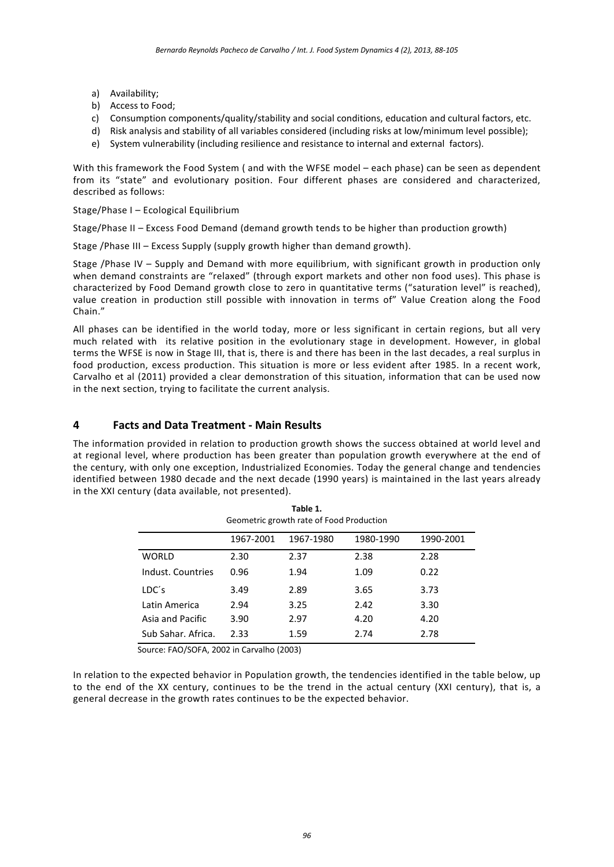- a) Availability;
- b) Access to Food;
- c) Consumption components/quality/stability and social conditions, education and cultural factors, etc.
- d) Risk analysis and stability of all variables considered (including risks at low/minimum level possible);
- e) System vulnerability (including resilience and resistance to internal and external factors).

With this framework the Food System ( and with the WFSE model – each phase) can be seen as dependent from its "state" and evolutionary position. Four different phases are considered and characterized, described as follows:

#### Stage/Phase I – Ecological Equilibrium

Stage/Phase II – Excess Food Demand (demand growth tends to be higher than production growth)

Stage /Phase III – Excess Supply (supply growth higher than demand growth).

Stage /Phase IV – Supply and Demand with more equilibrium, with significant growth in production only when demand constraints are "relaxed" (through export markets and other non food uses). This phase is characterized by Food Demand growth close to zero in quantitative terms ("saturation level" is reached), value creation in production still possible with innovation in terms of" Value Creation along the Food Chain."

All phases can be identified in the world today, more or less significant in certain regions, but all very much related with its relative position in the evolutionary stage in development. However, in global terms the WFSE is now in Stage III, that is, there is and there has been in the last decades, a real surplus in food production, excess production. This situation is more or less evident after 1985. In a recent work, Carvalho et al (2011) provided a clear demonstration of this situation, information that can be used now in the next section, trying to facilitate the current analysis.

## **4 Facts and Data Treatment - Main Results**

The information provided in relation to production growth shows the success obtained at world level and at regional level, where production has been greater than population growth everywhere at the end of the century, with only one exception, Industrialized Economies. Today the general change and tendencies identified between 1980 decade and the next decade (1990 years) is maintained in the last years already in the XXI century (data available, not presented).

|                    | 1967-2001 | 1967-1980 | 1980-1990 | 1990-2001 |
|--------------------|-----------|-----------|-----------|-----------|
| WORLD              | 2.30      | 2.37      | 2.38      | 2.28      |
| Indust. Countries  | 0.96      | 1.94      | 1.09      | 0.22      |
| LDC's              | 3.49      | 2.89      | 3.65      | 3.73      |
| Latin America      | 2.94      | 3.25      | 2.42      | 3.30      |
| Asia and Pacific   | 3.90      | 2.97      | 4.20      | 4.20      |
| Sub Sahar, Africa. | 2.33      | 1.59      | 2.74      | 2.78      |

**Table 1.** Geometric growth rate of Food Production

Source: FAO/SOFA, 2002 in Carvalho (2003)

In relation to the expected behavior in Population growth, the tendencies identified in the table below, up to the end of the XX century, continues to be the trend in the actual century (XXI century), that is, a general decrease in the growth rates continues to be the expected behavior.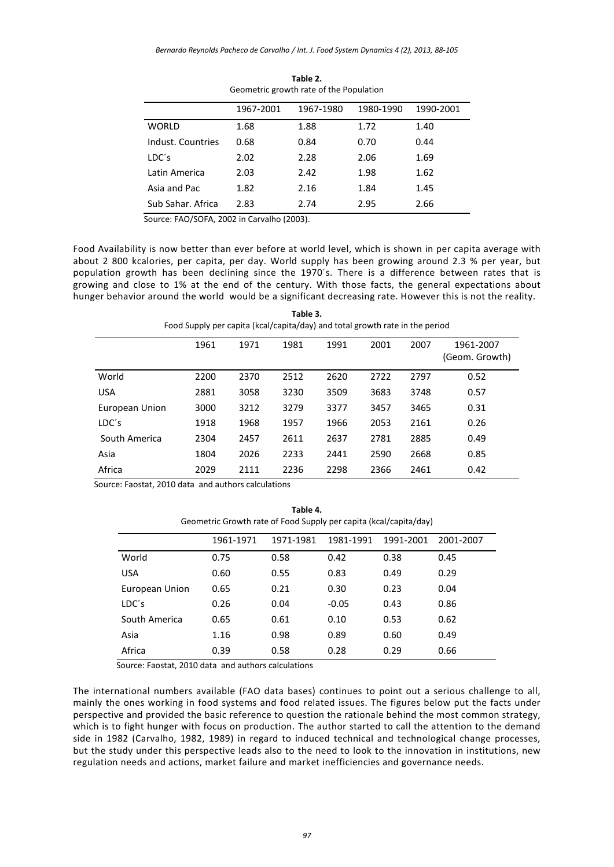| dedition growth rate of the r opulation |           |           |           |           |
|-----------------------------------------|-----------|-----------|-----------|-----------|
|                                         | 1967-2001 | 1967-1980 | 1980-1990 | 1990-2001 |
| <b>WORLD</b>                            | 1.68      | 1.88      | 1.72      | 1.40      |
| Indust, Countries                       | 0.68      | 0.84      | 0.70      | 0.44      |
| LDC's                                   | 2.02      | 2.28      | 2.06      | 1.69      |
| Latin America                           | 2.03      | 2.42      | 1.98      | 1.62      |
| Asia and Pac                            | 1.82      | 2.16      | 1.84      | 1.45      |
| Sub Sahar, Africa                       | 2.83      | 2.74      | 2.95      | 2.66      |

**Table 2.** Geometric growth rate of the Population

Source: FAO/SOFA, 2002 in Carvalho (2003).

Food Availability is now better than ever before at world level, which is shown in per capita average with about 2 800 kcalories, per capita, per day. World supply has been growing around 2.3 % per year, but population growth has been declining since the 1970´s. There is a difference between rates that is growing and close to 1% at the end of the century. With those facts, the general expectations about hunger behavior around the world would be a significant decreasing rate. However this is not the reality.

| Table 3.<br>Food Supply per capita (kcal/capita/day) and total growth rate in the period |      |      |      |      |      |      |                             |
|------------------------------------------------------------------------------------------|------|------|------|------|------|------|-----------------------------|
|                                                                                          | 1961 | 1971 | 1981 | 1991 | 2001 | 2007 | 1961-2007<br>(Geom. Growth) |
| World                                                                                    | 2200 | 2370 | 2512 | 2620 | 2722 | 2797 | 0.52                        |
| <b>USA</b>                                                                               | 2881 | 3058 | 3230 | 3509 | 3683 | 3748 | 0.57                        |
| European Union                                                                           | 3000 | 3212 | 3279 | 3377 | 3457 | 3465 | 0.31                        |
| LDC's                                                                                    | 1918 | 1968 | 1957 | 1966 | 2053 | 2161 | 0.26                        |
| South America                                                                            | 2304 | 2457 | 2611 | 2637 | 2781 | 2885 | 0.49                        |
| Asia                                                                                     | 1804 | 2026 | 2233 | 2441 | 2590 | 2668 | 0.85                        |
| Africa                                                                                   | 2029 | 2111 | 2236 | 2298 | 2366 | 2461 | 0.42                        |

Source: Faostat, 2010 data and authors calculations

**Table 4.** Geometric Growth rate of Food Supply per capita (kcal/capita/day)

|                | 1961-1971 | 1971-1981 | 1981-1991 | 1991-2001 | 2001-2007 |
|----------------|-----------|-----------|-----------|-----------|-----------|
| World          | 0.75      | 0.58      | 0.42      | 0.38      | 0.45      |
| <b>USA</b>     | 0.60      | 0.55      | 0.83      | 0.49      | 0.29      |
| European Union | 0.65      | 0.21      | 0.30      | 0.23      | 0.04      |
| LDC's          | 0.26      | 0.04      | $-0.05$   | 0.43      | 0.86      |
| South America  | 0.65      | 0.61      | 0.10      | 0.53      | 0.62      |
| Asia           | 1.16      | 0.98      | 0.89      | 0.60      | 0.49      |
| Africa         | 0.39      | 0.58      | 0.28      | 0.29      | 0.66      |

Source: Faostat, 2010 data and authors calculations

The international numbers available (FAO data bases) continues to point out a serious challenge to all, mainly the ones working in food systems and food related issues. The figures below put the facts under perspective and provided the basic reference to question the rationale behind the most common strategy, which is to fight hunger with focus on production. The author started to call the attention to the demand side in 1982 (Carvalho, 1982, 1989) in regard to induced technical and technological change processes, but the study under this perspective leads also to the need to look to the innovation in institutions, new regulation needs and actions, market failure and market inefficiencies and governance needs.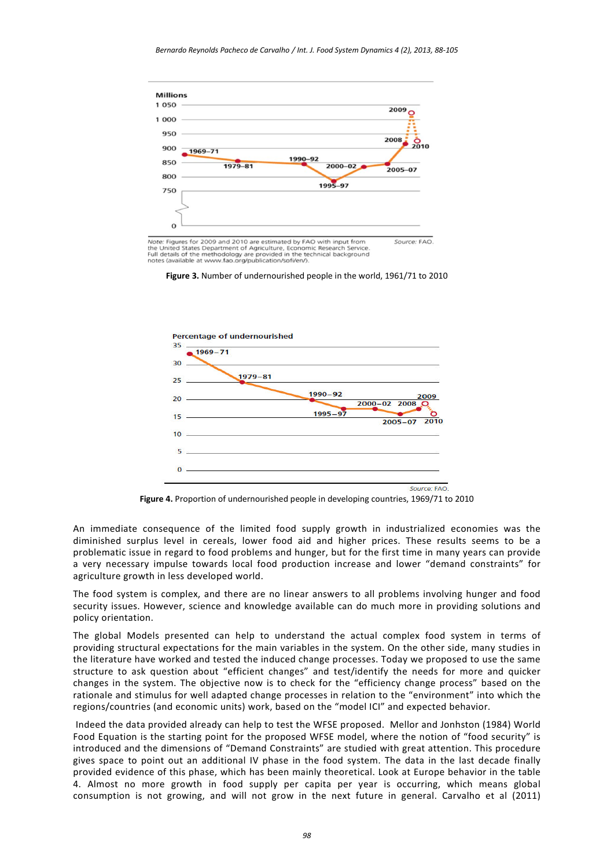

Note: Figures for 2009 and 2010 are estimated by FAO with input from<br>the United States Department of Agriculture, Economic Research Service.<br>Full details of the methodology are provided in the technical background<br>notes (a





**Figure 4.** Proportion of undernourished people in developing countries, 1969/71 to 2010

An immediate consequence of the limited food supply growth in industrialized economies was the diminished surplus level in cereals, lower food aid and higher prices. These results seems to be a problematic issue in regard to food problems and hunger, but for the first time in many years can provide a very necessary impulse towards local food production increase and lower "demand constraints" for agriculture growth in less developed world.

The food system is complex, and there are no linear answers to all problems involving hunger and food security issues. However, science and knowledge available can do much more in providing solutions and policy orientation.

The global Models presented can help to understand the actual complex food system in terms of providing structural expectations for the main variables in the system. On the other side, many studies in the literature have worked and tested the induced change processes. Today we proposed to use the same structure to ask question about "efficient changes" and test/identify the needs for more and quicker changes in the system. The objective now is to check for the "efficiency change process" based on the rationale and stimulus for well adapted change processes in relation to the "environment" into which the regions/countries (and economic units) work, based on the "model ICI" and expected behavior.

Indeed the data provided already can help to test the WFSE proposed. Mellor and Jonhston (1984) World Food Equation is the starting point for the proposed WFSE model, where the notion of "food security" is introduced and the dimensions of "Demand Constraints" are studied with great attention. This procedure gives space to point out an additional IV phase in the food system. The data in the last decade finally provided evidence of this phase, which has been mainly theoretical. Look at Europe behavior in the table 4. Almost no more growth in food supply per capita per year is occurring, which means global consumption is not growing, and will not grow in the next future in general. Carvalho et al (2011)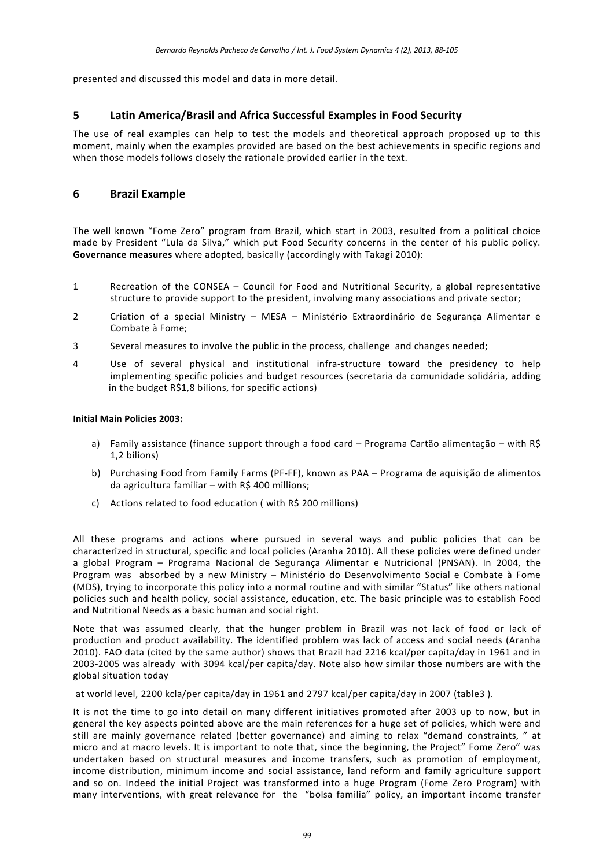presented and discussed this model and data in more detail.

## **5 Latin America/Brasil and Africa Successful Examples in Food Security**

The use of real examples can help to test the models and theoretical approach proposed up to this moment, mainly when the examples provided are based on the best achievements in specific regions and when those models follows closely the rationale provided earlier in the text.

## **6 Brazil Example**

The well known "Fome Zero" program from Brazil, which start in 2003, resulted from a political choice made by President "Lula da Silva," which put Food Security concerns in the center of his public policy. **Governance measures** where adopted, basically (accordingly with Takagi 2010):

- 1 Recreation of the CONSEA Council for Food and Nutritional Security, a global representative structure to provide support to the president, involving many associations and private sector;
- 2 Criation of a special Ministry MESA Ministério Extraordinário de Segurança Alimentar e Combate à Fome;
- 3 Several measures to involve the public in the process, challenge and changes needed;
- 4 Use of several physical and institutional infra-structure toward the presidency to help implementing specific policies and budget resources (secretaria da comunidade solidária, adding in the budget R\$1,8 bilions, for specific actions)

#### **Initial Main Policies 2003:**

- a) Family assistance (finance support through a food card Programa Cartão alimentação with R\$ 1,2 bilions)
- b) Purchasing Food from Family Farms (PF-FF), known as PAA Programa de aquisição de alimentos da agricultura familiar – with  $R\$  400 millions;
- c) Actions related to food education ( with R\$ 200 millions)

All these programs and actions where pursued in several ways and public policies that can be characterized in structural, specific and local policies (Aranha 2010). All these policies were defined under a global Program – Programa Nacional de Segurança Alimentar e Nutricional (PNSAN). In 2004, the Program was absorbed by a new Ministry – Ministério do Desenvolvimento Social e Combate à Fome (MDS), trying to incorporate this policy into a normal routine and with similar "Status" like others national policies such and health policy, social assistance, education, etc. The basic principle was to establish Food and Nutritional Needs as a basic human and social right.

Note that was assumed clearly, that the hunger problem in Brazil was not lack of food or lack of production and product availability. The identified problem was lack of access and social needs (Aranha 2010). FAO data (cited by the same author) shows that Brazil had 2216 kcal/per capita/day in 1961 and in 2003-2005 was already with 3094 kcal/per capita/day. Note also how similar those numbers are with the global situation today

at world level, 2200 kcla/per capita/day in 1961 and 2797 kcal/per capita/day in 2007 (table3 ).

It is not the time to go into detail on many different initiatives promoted after 2003 up to now, but in general the key aspects pointed above are the main references for a huge set of policies, which were and still are mainly governance related (better governance) and aiming to relax "demand constraints, " at micro and at macro levels. It is important to note that, since the beginning, the Project" Fome Zero" was undertaken based on structural measures and income transfers, such as promotion of employment, income distribution, minimum income and social assistance, land reform and family agriculture support and so on. Indeed the initial Project was transformed into a huge Program (Fome Zero Program) with many interventions, with great relevance for the "bolsa familia" policy, an important income transfer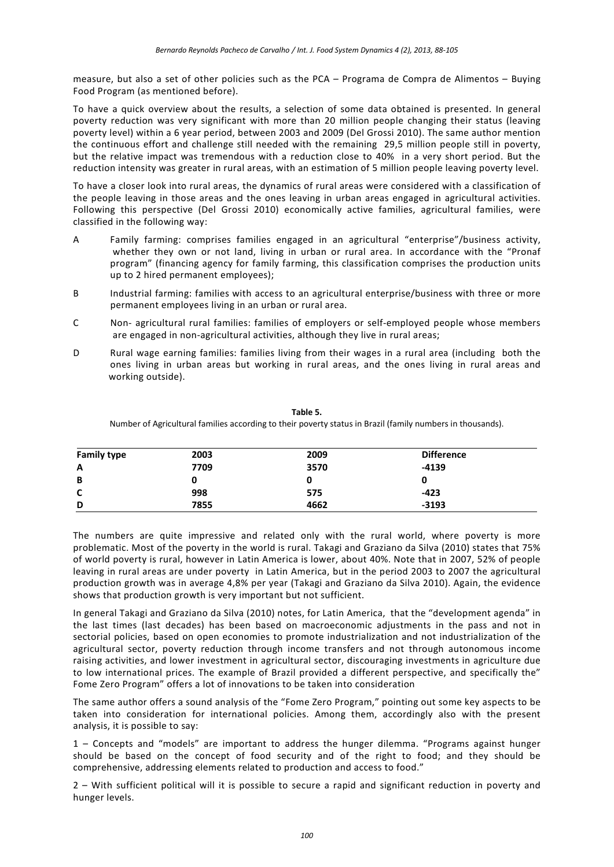measure, but also a set of other policies such as the PCA – Programa de Compra de Alimentos – Buying Food Program (as mentioned before).

To have a quick overview about the results, a selection of some data obtained is presented. In general poverty reduction was very significant with more than 20 million people changing their status (leaving poverty level) within a 6 year period, between 2003 and 2009 (Del Grossi 2010). The same author mention the continuous effort and challenge still needed with the remaining 29,5 million people still in poverty, but the relative impact was tremendous with a reduction close to 40% in a very short period. But the reduction intensity was greater in rural areas, with an estimation of 5 million people leaving poverty level.

To have a closer look into rural areas, the dynamics of rural areas were considered with a classification of the people leaving in those areas and the ones leaving in urban areas engaged in agricultural activities. Following this perspective (Del Grossi 2010) economically active families, agricultural families, were classified in the following way:

- A Family farming: comprises families engaged in an agricultural "enterprise"/business activity, whether they own or not land, living in urban or rural area. In accordance with the "Pronaf program" (financing agency for family farming, this classification comprises the production units up to 2 hired permanent employees);
- B Industrial farming: families with access to an agricultural enterprise/business with three or more permanent employees living in an urban or rural area.
- C Non- agricultural rural families: families of employers or self-employed people whose members are engaged in non-agricultural activities, although they live in rural areas;
- D Rural wage earning families: families living from their wages in a rural area (including both the ones living in urban areas but working in rural areas, and the ones living in rural areas and working outside).

Number of Agricultural families according to their poverty status in Brazil (family numbers in thousands). **Family type 2003 2009 Difference A 7709 3570 -4139**

**B 0 0 0 C 998 575 -423 D 7855 4662 -3193**

**Table 5.**

The numbers are quite impressive and related only with the rural world, where poverty is more problematic. Most of the poverty in the world is rural. Takagi and Graziano da Silva (2010) states that 75% of world poverty is rural, however in Latin America is lower, about 40%. Note that in 2007, 52% of people leaving in rural areas are under poverty in Latin America, but in the period 2003 to 2007 the agricultural production growth was in average 4,8% per year (Takagi and Graziano da Silva 2010). Again, the evidence shows that production growth is very important but not sufficient.

In general Takagi and Graziano da Silva (2010) notes, for Latin America, that the "development agenda" in the last times (last decades) has been based on macroeconomic adjustments in the pass and not in sectorial policies, based on open economies to promote industrialization and not industrialization of the agricultural sector, poverty reduction through income transfers and not through autonomous income raising activities, and lower investment in agricultural sector, discouraging investments in agriculture due to low international prices. The example of Brazil provided a different perspective, and specifically the" Fome Zero Program" offers a lot of innovations to be taken into consideration

The same author offers a sound analysis of the "Fome Zero Program," pointing out some key aspects to be taken into consideration for international policies. Among them, accordingly also with the present analysis, it is possible to say:

1 – Concepts and "models" are important to address the hunger dilemma. "Programs against hunger should be based on the concept of food security and of the right to food; and they should be comprehensive, addressing elements related to production and access to food."

2 – With sufficient political will it is possible to secure a rapid and significant reduction in poverty and hunger levels.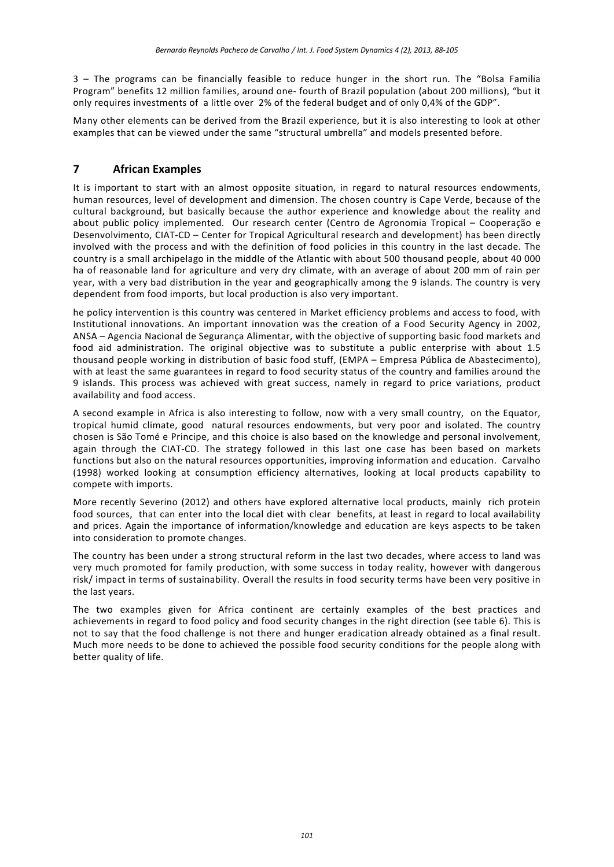3 – The programs can be financially feasible to reduce hunger in the short run. The "Bolsa Familia Program" benefits 12 million families, around one- fourth of Brazil population (about 200 millions), "but it only requires investments of a little over 2% of the federal budget and of only 0,4% of the GDP".

Many other elements can be derived from the Brazil experience, but it is also interesting to look at other examples that can be viewed under the same "structural umbrella" and models presented before.

## **7 African Examples**

It is important to start with an almost opposite situation, in regard to natural resources endowments, human resources, level of development and dimension. The chosen country is Cape Verde, because of the cultural background, but basically because the author experience and knowledge about the reality and about public policy implemented. Our research center (Centro de Agronomia Tropical – Cooperação e Desenvolvimento, CIAT-CD – Center for Tropical Agricultural research and development) has been directly involved with the process and with the definition of food policies in this country in the last decade. The country is a small archipelago in the middle of the Atlantic with about 500 thousand people, about 40 000 ha of reasonable land for agriculture and very dry climate, with an average of about 200 mm of rain per year, with a very bad distribution in the year and geographically among the 9 islands. The country is very dependent from food imports, but local production is also very important.

he policy intervention is this country was centered in Market efficiency problems and access to food, with Institutional innovations. An important innovation was the creation of a Food Security Agency in 2002, ANSA – Agencia Nacional de Segurança Alimentar, with the objective of supporting basic food markets and food aid administration. The original objective was to substitute a public enterprise with about 1.5 thousand people working in distribution of basic food stuff, (EMPA – Empresa Pública de Abastecimento), with at least the same guarantees in regard to food security status of the country and families around the 9 islands. This process was achieved with great success, namely in regard to price variations, product availability and food access.

A second example in Africa is also interesting to follow, now with a very small country, on the Equator, tropical humid climate, good natural resources endowments, but very poor and isolated. The country chosen is São Tomé e Principe, and this choice is also based on the knowledge and personal involvement, again through the CIAT-CD. The strategy followed in this last one case has been based on markets functions but also on the natural resources opportunities, improving information and education. Carvalho (1998) worked looking at consumption efficiency alternatives, looking at local products capability to compete with imports.

More recently Severino (2012) and others have explored alternative local products, mainly rich protein food sources, that can enter into the local diet with clear benefits, at least in regard to local availability and prices. Again the importance of information/knowledge and education are keys aspects to be taken into consideration to promote changes.

The country has been under a strong structural reform in the last two decades, where access to land was very much promoted for family production, with some success in today reality, however with dangerous risk/ impact in terms of sustainability. Overall the results in food security terms have been very positive in the last years.

The two examples given for Africa continent are certainly examples of the best practices and achievements in regard to food policy and food security changes in the right direction (see table 6). This is not to say that the food challenge is not there and hunger eradication already obtained as a final result. Much more needs to be done to achieved the possible food security conditions for the people along with better quality of life.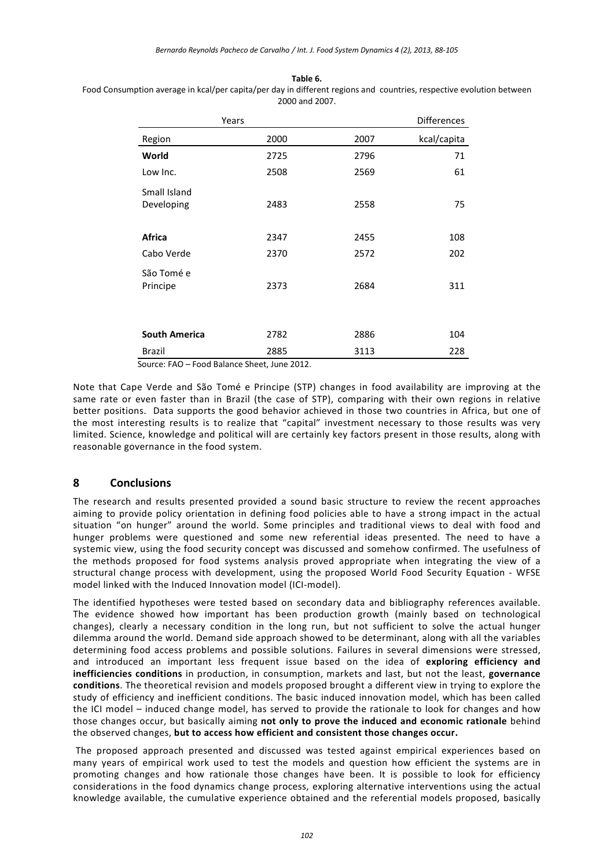## **Table 6.**

Food Consumption average in kcal/per capita/per day in different regions and countries, respective evolution between 2000 and 2007.

|                      | Years |      | <b>Differences</b> |
|----------------------|-------|------|--------------------|
| Region               | 2000  | 2007 | kcal/capita        |
| World                | 2725  | 2796 | 71                 |
| Low Inc.             | 2508  | 2569 | 61                 |
| Small Island         |       |      |                    |
| Developing           | 2483  | 2558 | 75                 |
|                      |       |      |                    |
| Africa               | 2347  | 2455 | 108                |
| Cabo Verde           | 2370  | 2572 | 202                |
| São Tomé e           |       |      |                    |
| Principe             | 2373  | 2684 | 311                |
|                      |       |      |                    |
|                      |       |      |                    |
| <b>South America</b> | 2782  | 2886 | 104                |
| <b>Brazil</b>        | 2885  | 3113 | 228                |

Source: FAO – Food Balance Sheet, June 2012.

Note that Cape Verde and São Tomé e Principe (STP) changes in food availability are improving at the same rate or even faster than in Brazil (the case of STP), comparing with their own regions in relative better positions. Data supports the good behavior achieved in those two countries in Africa, but one of the most interesting results is to realize that "capital" investment necessary to those results was very limited. Science, knowledge and political will are certainly key factors present in those results, along with reasonable governance in the food system.

## **8 Conclusions**

The research and results presented provided a sound basic structure to review the recent approaches aiming to provide policy orientation in defining food policies able to have a strong impact in the actual situation "on hunger" around the world. Some principles and traditional views to deal with food and hunger problems were questioned and some new referential ideas presented. The need to have a systemic view, using the food security concept was discussed and somehow confirmed. The usefulness of the methods proposed for food systems analysis proved appropriate when integrating the view of a structural change process with development, using the proposed World Food Security Equation - WFSE model linked with the Induced Innovation model (ICI-model).

The identified hypotheses were tested based on secondary data and bibliography references available. The evidence showed how important has been production growth (mainly based on technological changes), clearly a necessary condition in the long run, but not sufficient to solve the actual hunger dilemma around the world. Demand side approach showed to be determinant, along with all the variables determining food access problems and possible solutions. Failures in several dimensions were stressed, and introduced an important less frequent issue based on the idea of **exploring efficiency and inefficiencies conditions** in production, in consumption, markets and last, but not the least, **governance conditions**. The theoretical revision and models proposed brought a different view in trying to explore the study of efficiency and inefficient conditions. The basic induced innovation model, which has been called the ICI model – induced change model, has served to provide the rationale to look for changes and how those changes occur, but basically aiming **not only to prove the induced and economic rationale** behind the observed changes, **but to access how efficient and consistent those changes occur.**

The proposed approach presented and discussed was tested against empirical experiences based on many years of empirical work used to test the models and question how efficient the systems are in promoting changes and how rationale those changes have been. It is possible to look for efficiency considerations in the food dynamics change process, exploring alternative interventions using the actual knowledge available, the cumulative experience obtained and the referential models proposed, basically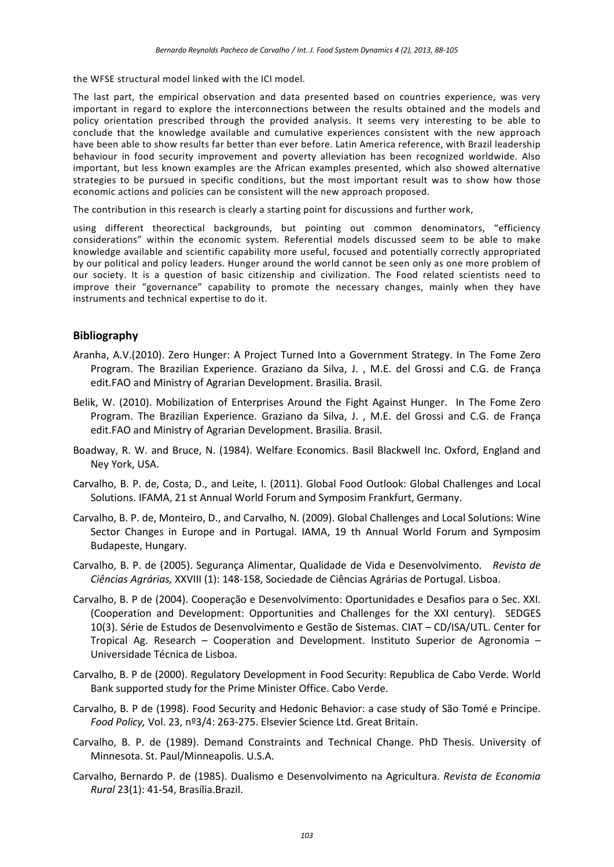the WFSE structural model linked with the ICI model.

The last part, the empirical observation and data presented based on countries experience, was very important in regard to explore the interconnections between the results obtained and the models and policy orientation prescribed through the provided analysis. It seems very interesting to be able to conclude that the knowledge available and cumulative experiences consistent with the new approach have been able to show results far better than ever before. Latin America reference, with Brazil leadership behaviour in food security improvement and poverty alleviation has been recognized worldwide. Also important, but less known examples are the African examples presented, which also showed alternative strategies to be pursued in specific conditions, but the most important result was to show how those economic actions and policies can be consistent will the new approach proposed.

The contribution in this research is clearly a starting point for discussions and further work,

using different theorectical backgrounds, but pointing out common denominators, "efficiency considerations" within the economic system. Referential models discussed seem to be able to make knowledge available and scientific capability more useful, focused and potentially correctly appropriated by our political and policy leaders. Hunger around the world cannot be seen only as one more problem of our society. It is a question of basic citizenship and civilization. The Food related scientists need to improve their "governance" capability to promote the necessary changes, mainly when they have instruments and technical expertise to do it.

## **Bibliography**

- Aranha, A.V.(2010). Zero Hunger: A Project Turned Into a Government Strategy. In The Fome Zero Program. The Brazilian Experience. Graziano da Silva, J. , M.E. del Grossi and C.G. de França edit.FAO and Ministry of Agrarian Development. Brasilia. Brasil.
- Belik, W. (2010). Mobilization of Enterprises Around the Fight Against Hunger. In The Fome Zero Program. The Brazilian Experience. Graziano da Silva, J. , M.E. del Grossi and C.G. de França edit.FAO and Ministry of Agrarian Development. Brasilia. Brasil.
- Boadway, R. W. and Bruce, N. (1984). Welfare Economics. Basil Blackwell Inc. Oxford, England and Ney York, USA.
- Carvalho, B. P. de, Costa, D., and Leite, I. (2011). Global Food Outlook: Global Challenges and Local Solutions. IFAMA, 21 st Annual World Forum and Symposim Frankfurt, Germany.
- Carvalho, B. P. de, Monteiro, D., and Carvalho, N. (2009). Global Challenges and Local Solutions: Wine Sector Changes in Europe and in Portugal. IAMA, 19 th Annual World Forum and Symposim Budapeste, Hungary.
- Carvalho, B. P. de (2005). Segurança Alimentar, Qualidade de Vida e Desenvolvimento. *Revista de Ciências Agrárias,* XXVIII (1): 148-158, Sociedade de Ciências Agrárias de Portugal. Lisboa.
- Carvalho, B. P de (2004). Cooperação e Desenvolvimento: Oportunidades e Desafios para o Sec. XXI. (Cooperation and Development: Opportunities and Challenges for the XXI century). SEDGES 10(3). Série de Estudos de Desenvolvimento e Gestão de Sistemas. CIAT – CD/ISA/UTL. Center for Tropical Ag. Research – Cooperation and Development. Instituto Superior de Agronomia – Universidade Técnica de Lisboa.
- Carvalho, B. P de (2000). Regulatory Development in Food Security: Republica de Cabo Verde. World Bank supported study for the Prime Minister Office. Cabo Verde.
- Carvalho, B. P de (1998). Food Security and Hedonic Behavior: a case study of São Tomé e Principe. *Food Policy,* Vol. 23, nº3/4: 263-275. Elsevier Science Ltd. Great Britain.
- Carvalho, B. P. de (1989). Demand Constraints and Technical Change. PhD Thesis. University of Minnesota. St. Paul/Minneapolis. U.S.A.
- Carvalho, Bernardo P. de (1985). Dualismo e Desenvolvimento na Agricultura. *Revista de Economia Rural* 23(1): 41-54, Brasília.Brazil.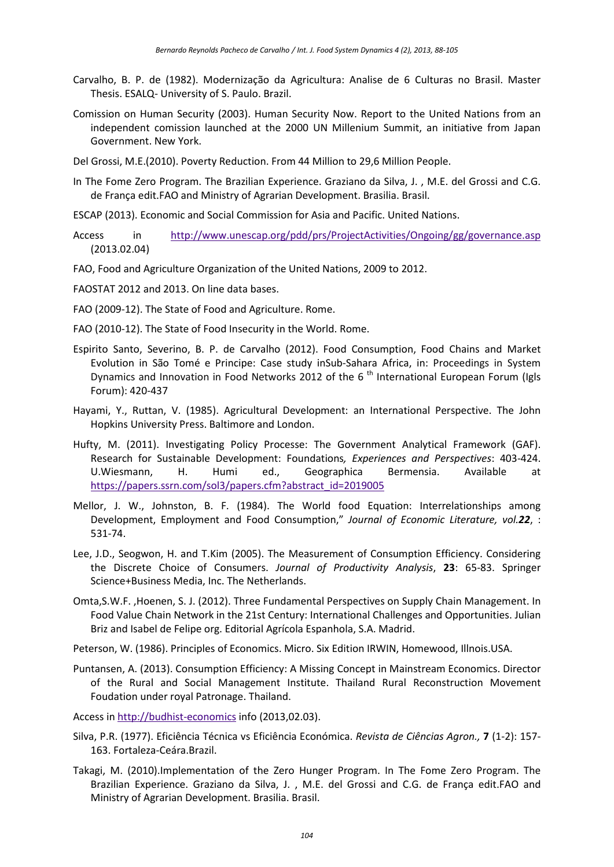- Carvalho, B. P. de (1982). Modernização da Agricultura: Analise de 6 Culturas no Brasil. Master Thesis. ESALQ- University of S. Paulo. Brazil.
- Comission on Human Security (2003). Human Security Now. Report to the United Nations from an independent comission launched at the 2000 UN Millenium Summit, an initiative from Japan Government. New York.
- Del Grossi, M.E.(2010). Poverty Reduction. From 44 Million to 29,6 Million People.
- In The Fome Zero Program. The Brazilian Experience. Graziano da Silva, J. , M.E. del Grossi and C.G. de França edit.FAO and Ministry of Agrarian Development. Brasilia. Brasil.
- ESCAP (2013). Economic and Social Commission for Asia and Pacific. United Nations.
- Access in <http://www.unescap.org/pdd/prs/ProjectActivities/Ongoing/gg/governance.asp> (2013.02.04)
- FAO, Food and Agriculture Organization of the United Nations, 2009 to 2012.
- FAOSTAT 2012 and 2013. On line data bases.
- FAO (2009-12). The State of Food and Agriculture. Rome.
- FAO (2010-12). The State of Food Insecurity in the World. Rome.
- Espirito Santo, Severino, B. P. de Carvalho (2012). Food Consumption, Food Chains and Market Evolution in São Tomé e Principe: Case study inSub-Sahara Africa, in: Proceedings in System Dynamics and Innovation in Food Networks 2012 of the 6<sup>th</sup> International European Forum (Igls Forum): 420-437
- Hayami, Y., Ruttan, V. (1985). Agricultural Development: an International Perspective. The John Hopkins University Press. Baltimore and London.
- Hufty, M. (2011). Investigating Policy Processe: The Government Analytical Framework (GAF). Research for Sustainable Development: Foundations*, Experiences and Perspectives*: 403-424. U.Wiesmann, H. Humi ed., Geographica Bermensia. Available at [https://papers.ssrn.com/sol3/papers.cfm?abstract\\_id=2019005](https://papers.ssrn.com/sol3/papers.cfm?abstract_id=2019005)
- Mellor, J. W., Johnston, B. F. (1984). The World food Equation: Interrelationships among Development, Employment and Food Consumption," *Journal of Economic Literature, vol.22*, : 531-74.
- Lee, J.D., Seogwon, H. and T.Kim (2005). The Measurement of Consumption Efficiency. Considering the Discrete Choice of Consumers. *Journal of Productivity Analysis*, **23**: 65-83. Springer Science+Business Media, Inc. The Netherlands.
- Omta,S.W.F. ,Hoenen, S. J. (2012). Three Fundamental Perspectives on Supply Chain Management. In Food Value Chain Network in the 21st Century: International Challenges and Opportunities. Julian Briz and Isabel de Felipe org. Editorial Agrícola Espanhola, S.A. Madrid.
- Peterson, W. (1986). Principles of Economics. Micro. Six Edition IRWIN, Homewood, Illnois.USA.
- Puntansen, A. (2013). Consumption Efficiency: A Missing Concept in Mainstream Economics. Director of the Rural and Social Management Institute. Thailand Rural Reconstruction Movement Foudation under royal Patronage. Thailand.

Access in [http://budhist-economics](http://budhist-economics/) info (2013,02.03).

- Silva, P.R. (1977). Eficiência Técnica vs Eficiência Económica. *Revista de Ciências Agron.,* **7** (1-2): 157- 163. Fortaleza-Ceára.Brazil.
- Takagi, M. (2010).Implementation of the Zero Hunger Program. In The Fome Zero Program. The Brazilian Experience. Graziano da Silva, J. , M.E. del Grossi and C.G. de França edit.FAO and Ministry of Agrarian Development. Brasilia. Brasil.